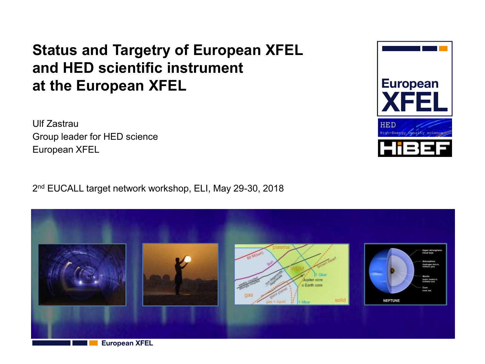### **Status and Targetry of European XFEL and HED scientific instrument at the European XFEL**

Ulf Zastrau Group leader for HED science European XFEL

2 nd EUCALL target network workshop, ELI, May 29-30, 2018



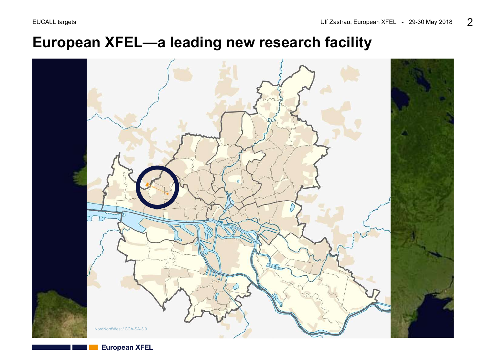### **European XFEL—a leading new research facility**

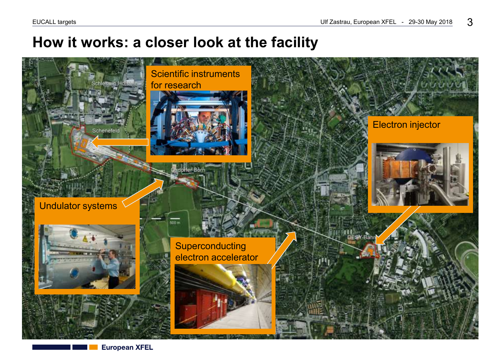### **How it works: a closer look at the facility**



**European XFEL**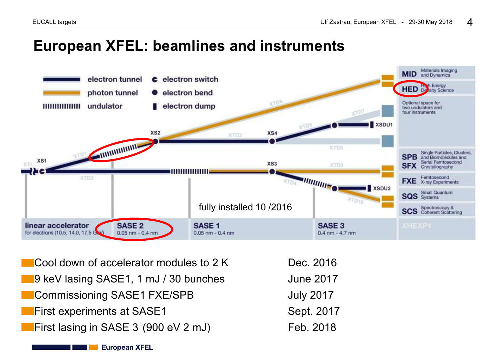### **European XFEL: beamlines and instruments**



Cool down of accelerator modules to  $2 K$  Dec. 2016 9 keV lasing SASE1, 1 mJ / 30 bunches June 2017 Commissioning SASE1 FXE/SPB July 2017 **First experiments at SASE1** Sept. 2017 First lasing in SASE 3  $(900 \text{ eV} 2 \text{ mJ})$  Feb. 2018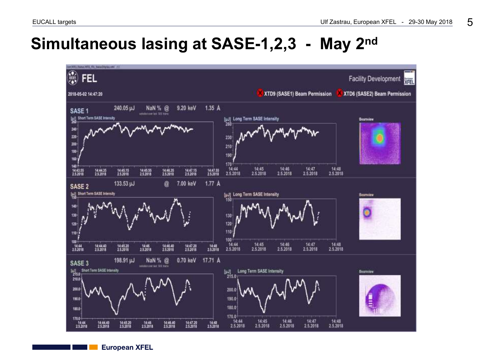## **Simultaneous lasing at SASE-1,2,3 - May 2nd**

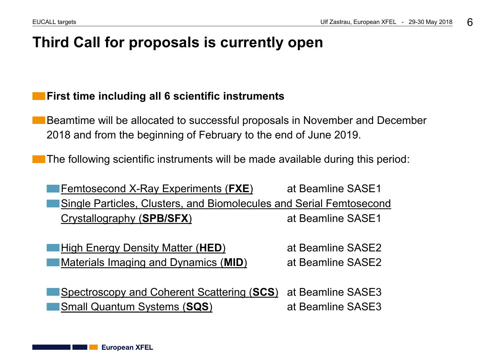### **Third Call for proposals is currently open**

#### **First time including all 6 scientific instruments**

Beamtime will be allocated to successful proposals in November and December 2018 and from the beginning of February to the end of June 2019.

The following scientific instruments will be made available during this period:

[Femtosecond X-Ray Experiments \(](https://www.xfel.eu/facility/instruments/fxe)**[FXE](https://www.xfel.eu/facility/instruments/fxe)**[\)](https://www.xfel.eu/facility/instruments/fxe) at Beamline SASE1 [Single Particles, Clusters, and Biomolecules and Serial Femtosecond](https://www.xfel.eu/facility/instruments/spb_sfx)  [Crystallography \(](https://www.xfel.eu/facility/instruments/spb_sfx)**[SPB/SFX](https://www.xfel.eu/facility/instruments/spb_sfx)**[\)](https://www.xfel.eu/facility/instruments/spb_sfx) at Beamline SASE1

**[High Energy Density Matter \(](https://www.xfel.eu/facility/instruments/hed)[HED](https://www.xfel.eu/facility/instruments/hed)[\)](https://www.xfel.eu/facility/instruments/hed)** at Beamline SASE2 **[Materials Imaging and Dynamics \(](https://www.xfel.eu/facility/instruments/mid)[MID](https://www.xfel.eu/facility/instruments/mid)[\)](https://www.xfel.eu/facility/instruments/mid)** at Beamline SASE2

[Spectroscopy and Coherent Scattering \(](https://www.xfel.eu/facility/instruments/scs)**[SCS](https://www.xfel.eu/facility/instruments/scs)**[\)](https://www.xfel.eu/facility/instruments/scs) at Beamline SASE3 **[Small Quantum Systems \(](https://www.xfel.eu/facility/instruments/sqs)[SQS](https://www.xfel.eu/facility/instruments/sqs)[\)](https://www.xfel.eu/facility/instruments/sqs)** at Beamline SASE3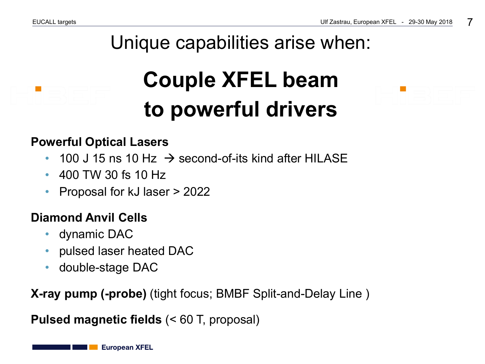# Unique capabilities arise when:

# **Couple XFEL beam to powerful drivers**

#### **Powerful Optical Lasers**

- 100 J 15 ns 10 Hz  $\rightarrow$  second-of-its kind after HILASE
- 400 TW 30 fs 10 Hz
- Proposal for kJ laser > 2022

### **Diamond Anvil Cells**

- dynamic DAC
- pulsed laser heated DAC
- double-stage DAC

**X-ray pump (-probe)** (tight focus; BMBF Split-and-Delay Line )

**Pulsed magnetic fields** (< 60 T, proposal)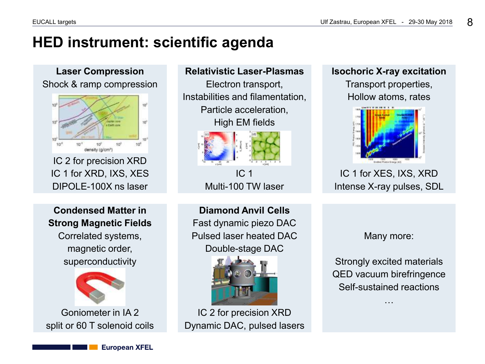### **HED instrument: scientific agenda**

**Laser Compression** Shock & ramp compression



IC 2 for precision XRD IC 1 for XRD, IXS, XES DIPOLE-100X ns laser

**Condensed Matter in Strong Magnetic Fields** Correlated systems,

magnetic order, superconductivity



Goniometer in IA 2 split or 60 T solenoid coils

#### **Relativistic Laser-Plasmas**

Electron transport, Instabilities and filamentation, Particle acceleration, High EM fields



IC 1 Multi-100 TW laser

**Diamond Anvil Cells** Fast dynamic piezo DAC Pulsed laser heated DAC Double-stage DAC



IC 2 for precision XRD Dynamic DAC, pulsed lasers **Isochoric X-ray excitation** Transport properties, Hollow atoms, rates



IC 1 for XES, IXS, XRD Intense X-ray pulses, SDL

Many more:

Strongly excited materials QED vacuum birefringence Self-sustained reactions

…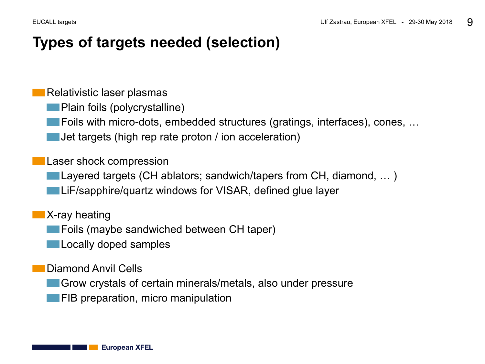### **Types of targets needed (selection)**

Relativistic laser plasmas

Plain foils (polycrystalline)

**Foils with micro-dots, embedded structures (gratings, interfaces), cones, ...** 

Jet targets (high rep rate proton / ion acceleration)

Laser shock compression

Layered targets (CH ablators; sandwich/tapers from CH, diamond, … )

**LiF/sapphire/quartz windows for VISAR, defined glue layer** 

**X-ray heating** 

**Foils (maybe sandwiched between CH taper)** 

**Locally doped samples** 

Diamond Anvil Cells

Grow crystals of certain minerals/metals, also under pressure

**FIB** preparation, micro manipulation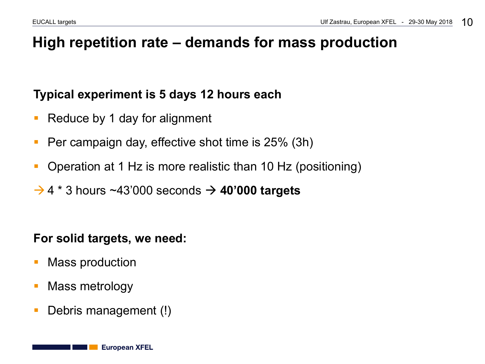### **High repetition rate – demands for mass production**

#### **Typical experiment is 5 days 12 hours each**

- Reduce by 1 day for alignment
- **Per campaign day, effective shot time is 25% (3h)**
- Operation at 1 Hz is more realistic than 10 Hz (positioning)
- $\rightarrow$  4  $*$  3 hours ~43'000 seconds  $\rightarrow$  40'000 targets

#### **For solid targets, we need:**

- **Nass production**
- Mass metrology
- Debris management (!)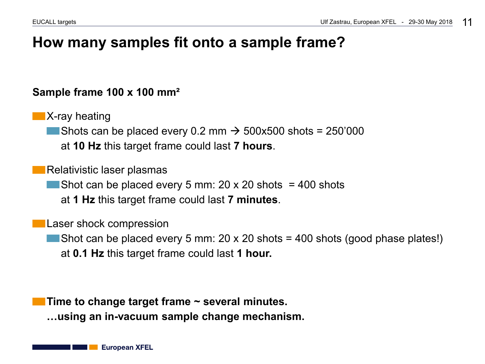### **How many samples fit onto a sample frame?**

#### **Sample frame 100 x 100 mm²**

**X-ray heating** Shots can be placed every 0.2 mm  $\rightarrow$  500x500 shots = 250'000 at **10 Hz** this target frame could last **7 hours**.

Relativistic laser plasmas Shot can be placed every 5 mm: 20 x 20 shots  $=$  400 shots at **1 Hz** this target frame could last **7 minutes**.

Laser shock compression

Shot can be placed every 5 mm: 20 x 20 shots = 400 shots (good phase plates!) at **0.1 Hz** this target frame could last **1 hour.**

**Time to change target frame ~ several minutes. …using an in-vacuum sample change mechanism.**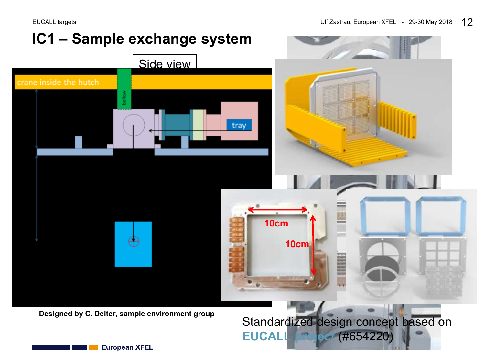

**Designed by C. Deiter, sample environment group**

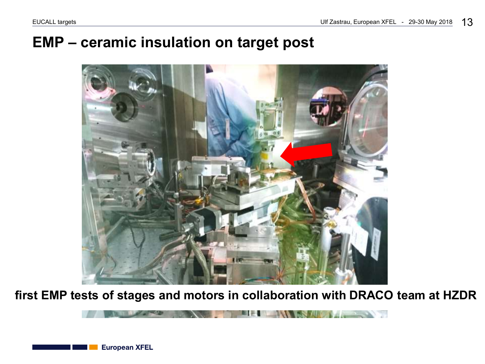80 V V V

### **EMP – ceramic insulation on target post**



**first EMP tests of stages and motors in collaboration with DRACO team at HZDR**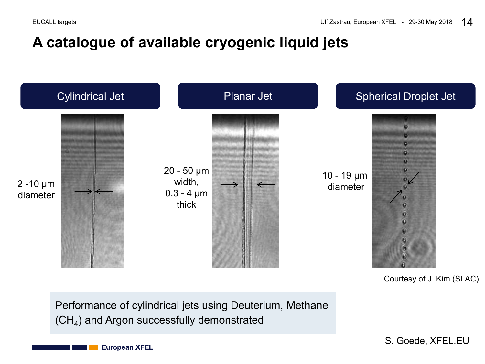### **A catalogue of available cryogenic liquid jets**



Courtesy of J. Kim (SLAC)

Performance of cylindrical jets using Deuterium, Methane  $(CH<sub>4</sub>)$  and Argon successfully demonstrated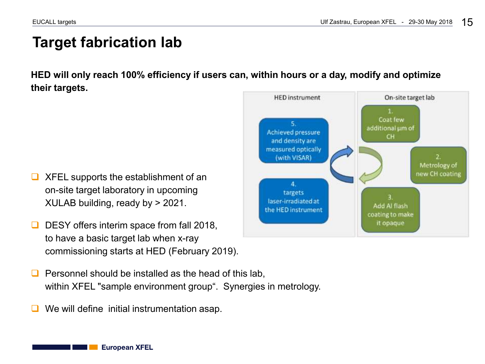### **Target fabrication lab**

**HED will only reach 100% efficiency if users can, within hours or a day, modify and optimize their targets.**

- XFEL supports the establishment of an on-site target laboratory in upcoming XULAB building, ready by > 2021.
- DESY offers interim space from fall 2018, to have a basic target lab when x-ray commissioning starts at HED (February 2019).
- Personnel should be installed as the head of this lab, within XFEL "sample environment group". Synergies in metrology.
- We will define initial instrumentation asap.